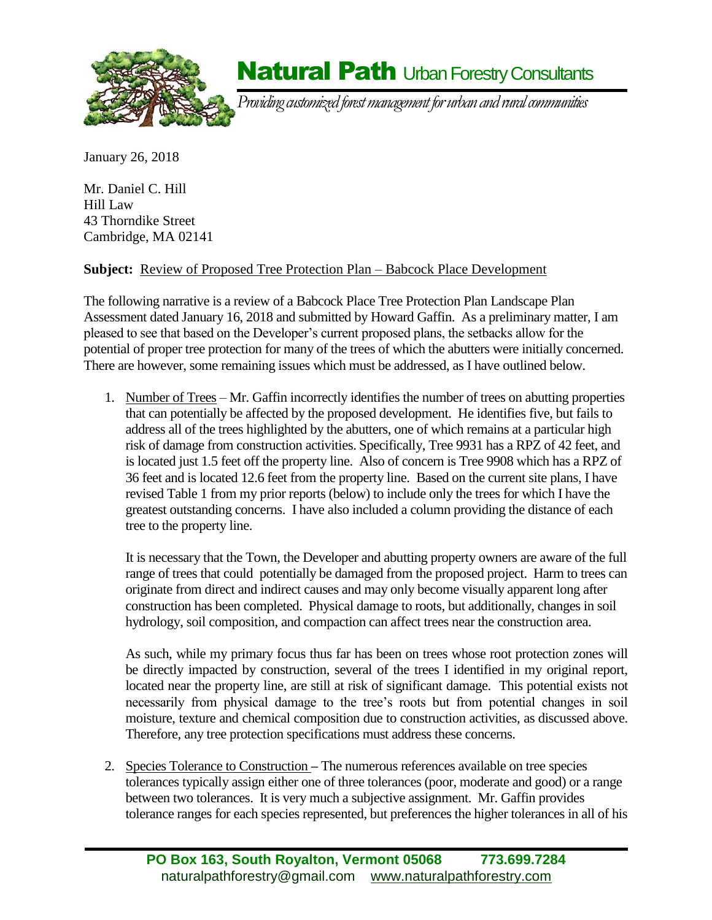

### **Natural Path Urban Forestry Consultants**

*Providing customized forest management for urban and rural communities*

January 26, 2018

Mr. Daniel C. Hill Hill Law 43 Thorndike Street Cambridge, MA 02141

#### **Subject:** Review of Proposed Tree Protection Plan – Babcock Place Development

The following narrative is a review of a Babcock Place Tree Protection Plan Landscape Plan Assessment dated January 16, 2018 and submitted by Howard Gaffin. As a preliminary matter, I am pleased to see that based on the Developer's current proposed plans, the setbacks allow for the potential of proper tree protection for many of the trees of which the abutters were initially concerned. There are however, some remaining issues which must be addressed, as I have outlined below.

1. Number of Trees – Mr. Gaffin incorrectly identifies the number of trees on abutting properties that can potentially be affected by the proposed development. He identifies five, but fails to address all of the trees highlighted by the abutters, one of which remains at a particular high risk of damage from construction activities. Specifically, Tree 9931 has a RPZ of 42 feet, and is located just 1.5 feet off the property line. Also of concern is Tree 9908 which has a RPZ of 36 feet and is located 12.6 feet from the property line. Based on the current site plans, I have revised Table 1 from my prior reports (below) to include only the trees for which I have the greatest outstanding concerns. I have also included a column providing the distance of each tree to the property line.

It is necessary that the Town, the Developer and abutting property owners are aware of the full range of trees that could potentially be damaged from the proposed project. Harm to trees can originate from direct and indirect causes and may only become visually apparent long after construction has been completed. Physical damage to roots, but additionally, changes in soil hydrology, soil composition, and compaction can affect trees near the construction area.

As such, while my primary focus thus far has been on trees whose root protection zones will be directly impacted by construction, several of the trees I identified in my original report, located near the property line, are still at risk of significant damage. This potential exists not necessarily from physical damage to the tree's roots but from potential changes in soil moisture, texture and chemical composition due to construction activities, as discussed above. Therefore, any tree protection specifications must address these concerns.

2. Species Tolerance to Construction **–** The numerous references available on tree species tolerances typically assign either one of three tolerances (poor, moderate and good) or a range between two tolerances. It is very much a subjective assignment. Mr. Gaffin provides tolerance ranges for each species represented, but preferences the higher tolerances in all of his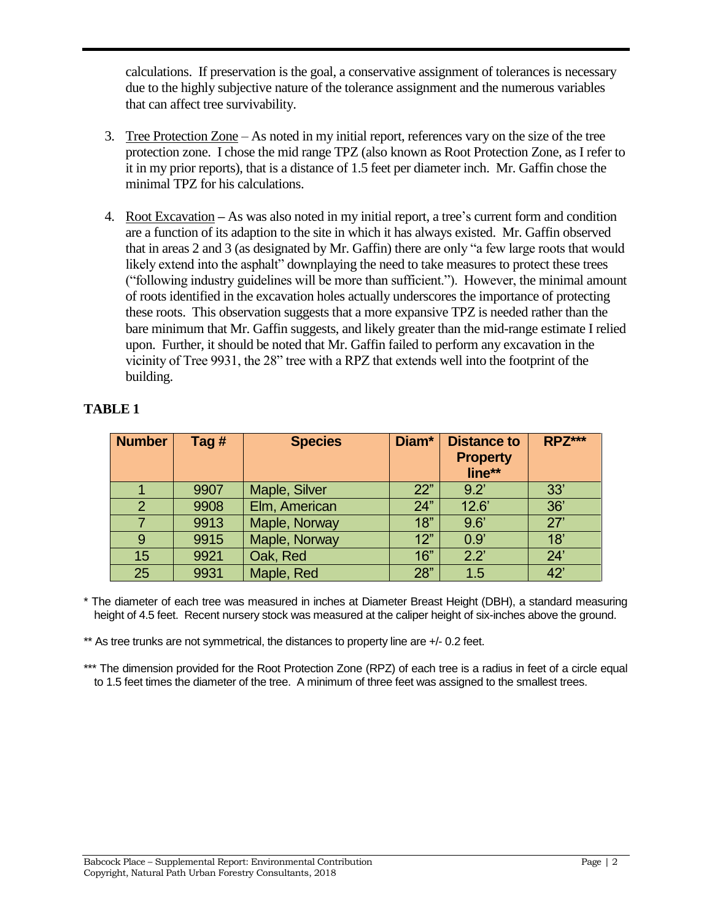calculations. If preservation is the goal, a conservative assignment of tolerances is necessary due to the highly subjective nature of the tolerance assignment and the numerous variables that can affect tree survivability.

- 3. Tree Protection Zone As noted in my initial report, references vary on the size of the tree protection zone. I chose the mid range TPZ (also known as Root Protection Zone, as I refer to it in my prior reports), that is a distance of 1.5 feet per diameter inch. Mr. Gaffin chose the minimal TPZ for his calculations.
- 4. Root Excavation **–** As was also noted in my initial report, a tree's current form and condition are a function of its adaption to the site in which it has always existed. Mr. Gaffin observed that in areas 2 and 3 (as designated by Mr. Gaffin) there are only "a few large roots that would likely extend into the asphalt" downplaying the need to take measures to protect these trees ("following industry guidelines will be more than sufficient."). However, the minimal amount of roots identified in the excavation holes actually underscores the importance of protecting these roots. This observation suggests that a more expansive TPZ is needed rather than the bare minimum that Mr. Gaffin suggests, and likely greater than the mid-range estimate I relied upon. Further, it should be noted that Mr. Gaffin failed to perform any excavation in the vicinity of Tree 9931, the 28" tree with a RPZ that extends well into the footprint of the building.

| <b>Number</b>  | Tag $#$ | <b>Species</b> | Diam* | <b>Distance to</b><br><b>Property</b><br>line** | <b>RPZ***</b> |
|----------------|---------|----------------|-------|-------------------------------------------------|---------------|
|                | 9907    | Maple, Silver  | 22"   | 9.2                                             | 33'           |
| $\overline{2}$ | 9908    | Elm, American  | 24"   | 12.6'                                           | 36'           |
| 7              | 9913    | Maple, Norway  | 18"   | 9.6'                                            | 27'           |
| 9              | 9915    | Maple, Norway  | 12"   | 0.9'                                            | 18'           |
| 15             | 9921    | Oak, Red       | 16"   | $2.2^{\circ}$                                   | 24'           |
| 25             | 9931    | Maple, Red     | 28"   | 1.5                                             | 42'           |

#### **TABLE 1**

\* The diameter of each tree was measured in inches at Diameter Breast Height (DBH), a standard measuring height of 4.5 feet. Recent nursery stock was measured at the caliper height of six-inches above the ground.

\*\* As tree trunks are not symmetrical, the distances to property line are +/- 0.2 feet.

\*\*\* The dimension provided for the Root Protection Zone (RPZ) of each tree is a radius in feet of a circle equal to 1.5 feet times the diameter of the tree. A minimum of three feet was assigned to the smallest trees.